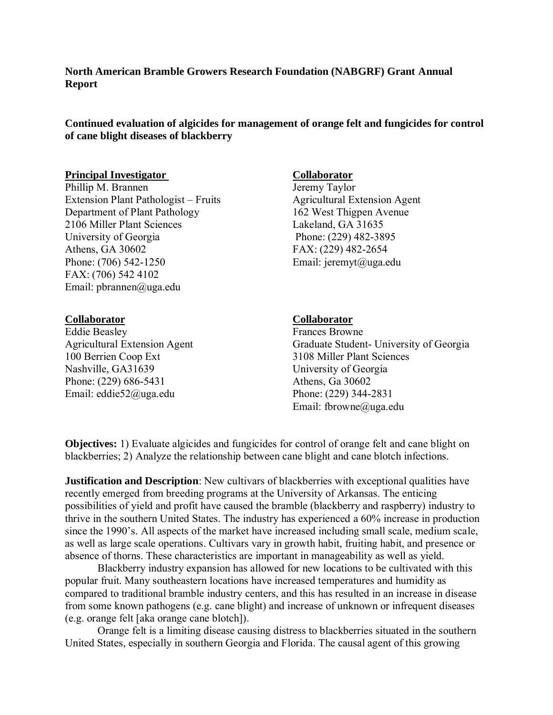**North American Bramble Growers Research Foundation (NABGRF) Grant Annual Report**

**Continued evaluation of algicides for management of orange felt and fungicides for control of cane blight diseases of blackberry**

### **Principal Investigator** Collaborator

Phillip M. Brannen Jeremy Taylor Extension Plant Pathologist – Fruits Agricultural Extension Agent Department of Plant Pathology 162 West Thigpen Avenue 2106 Miller Plant Sciences Lakeland, GA 31635 University of Georgia Phone: (229) 482-3895 Athens, GA 30602 FAX: (229) 482-2654 Phone: (706) 542-1250 Email: jeremyt@uga.edu FAX: (706) 542 4102 Email: pbrannen@uga.edu

#### **Collaborator**

Eddie Beasley Agricultural Extension Agent 100 Berrien Coop Ext Nashville, GA31639 Phone: (229) 686-5431 Email: eddie52@uga.edu

#### **Collaborator**

Frances Browne Graduate Student- University of Georgia 3108 Miller Plant Sciences University of Georgia Athens, Ga 30602 Phone: (229) 344-2831 Email: fbrowne@uga.edu

**Objectives:** 1) Evaluate algicides and fungicides for control of orange felt and cane blight on blackberries; 2) Analyze the relationship between cane blight and cane blotch infections.

**Justification and Description**: New cultivars of blackberries with exceptional qualities have recently emerged from breeding programs at the University of Arkansas. The enticing possibilities of yield and profit have caused the bramble (blackberry and raspberry) industry to thrive in the southern United States. The industry has experienced a 60% increase in production since the 1990's. All aspects of the market have increased including small scale, medium scale, as well as large scale operations. Cultivars vary in growth habit, fruiting habit, and presence or absence of thorns. These characteristics are important in manageability as well as yield.

Blackberry industry expansion has allowed for new locations to be cultivated with this popular fruit. Many southeastern locations have increased temperatures and humidity as compared to traditional bramble industry centers, and this has resulted in an increase in disease from some known pathogens (e.g. cane blight) and increase of unknown or infrequent diseases (e.g. orange felt [aka orange cane blotch]).

Orange felt is a limiting disease causing distress to blackberries situated in the southern United States, especially in southern Georgia and Florida. The causal agent of this growing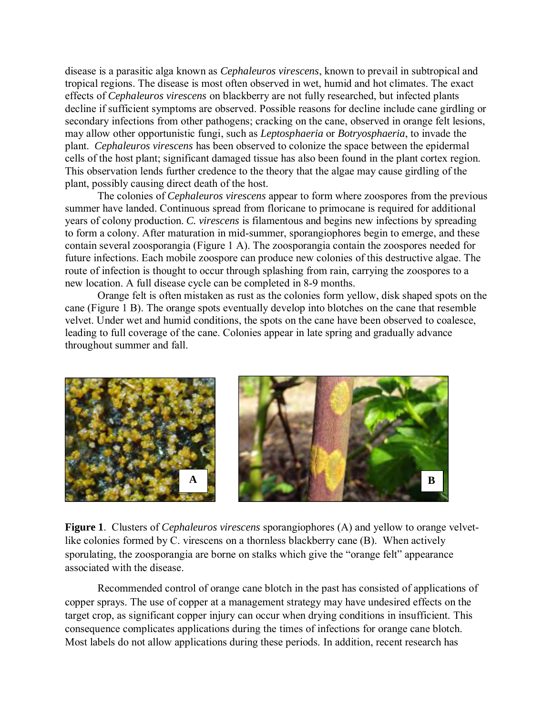disease is a parasitic alga known as *Cephaleuros virescens*, known to prevail in subtropical and tropical regions. The disease is most often observed in wet, humid and hot climates. The exact effects of *Cephaleuros virescens* on blackberry are not fully researched, but infected plants decline if sufficient symptoms are observed. Possible reasons for decline include cane girdling or secondary infections from other pathogens; cracking on the cane, observed in orange felt lesions, may allow other opportunistic fungi, such as *Leptosphaeria* or *Botryosphaeria*, to invade the plant. *Cephaleuros virescens* has been observed to colonize the space between the epidermal cells of the host plant; significant damaged tissue has also been found in the plant cortex region. This observation lends further credence to the theory that the algae may cause girdling of the plant, possibly causing direct death of the host.

The colonies of *Cephaleuros virescens* appear to form where zoospores from the previous summer have landed. Continuous spread from floricane to primocane is required for additional years of colony production. *C. virescens* is filamentous and begins new infections by spreading to form a colony. After maturation in mid-summer, sporangiophores begin to emerge, and these contain several zoosporangia (Figure 1 A). The zoosporangia contain the zoospores needed for future infections. Each mobile zoospore can produce new colonies of this destructive algae. The route of infection is thought to occur through splashing from rain, carrying the zoospores to a new location. A full disease cycle can be completed in 8-9 months.

Orange felt is often mistaken as rust as the colonies form yellow, disk shaped spots on the cane (Figure 1 B). The orange spots eventually develop into blotches on the cane that resemble velvet. Under wet and humid conditions, the spots on the cane have been observed to coalesce, leading to full coverage of the cane. Colonies appear in late spring and gradually advance throughout summer and fall.



**Figure 1**. Clusters of *Cephaleuros virescens* sporangiophores (A) and yellow to orange velvetlike colonies formed by C. virescens on a thornless blackberry cane (B). When actively sporulating, the zoosporangia are borne on stalks which give the "orange felt" appearance associated with the disease.

Recommended control of orange cane blotch in the past has consisted of applications of copper sprays. The use of copper at a management strategy may have undesired effects on the target crop, as significant copper injury can occur when drying conditions in insufficient. This consequence complicates applications during the times of infections for orange cane blotch. Most labels do not allow applications during these periods. In addition, recent research has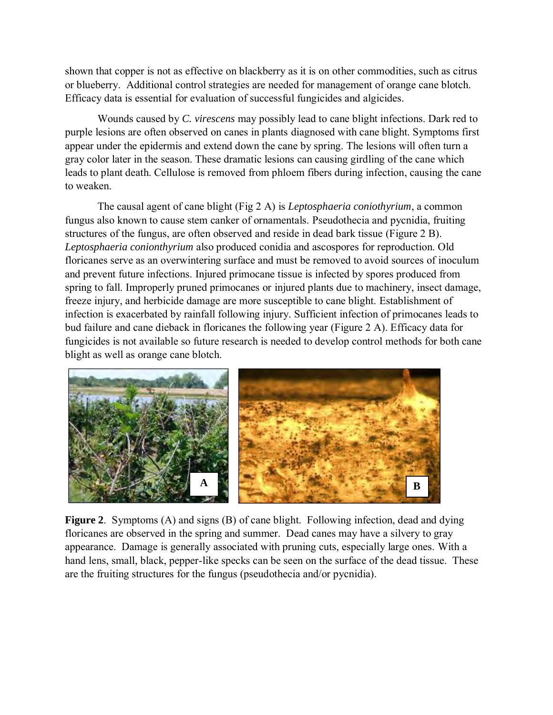shown that copper is not as effective on blackberry as it is on other commodities, such as citrus or blueberry. Additional control strategies are needed for management of orange cane blotch. Efficacy data is essential for evaluation of successful fungicides and algicides.

Wounds caused by *C. virescens* may possibly lead to cane blight infections. Dark red to purple lesions are often observed on canes in plants diagnosed with cane blight. Symptoms first appear under the epidermis and extend down the cane by spring. The lesions will often turn a gray color later in the season. These dramatic lesions can causing girdling of the cane which leads to plant death. Cellulose is removed from phloem fibers during infection, causing the cane to weaken.

The causal agent of cane blight (Fig 2 A) is *Leptosphaeria coniothyrium*, a common fungus also known to cause stem canker of ornamentals. Pseudothecia and pycnidia, fruiting structures of the fungus, are often observed and reside in dead bark tissue (Figure 2 B). *Leptosphaeria conionthyrium* also produced conidia and ascospores for reproduction. Old floricanes serve as an overwintering surface and must be removed to avoid sources of inoculum and prevent future infections. Injured primocane tissue is infected by spores produced from spring to fall. Improperly pruned primocanes or injured plants due to machinery, insect damage, freeze injury, and herbicide damage are more susceptible to cane blight. Establishment of infection is exacerbated by rainfall following injury. Sufficient infection of primocanes leads to bud failure and cane dieback in floricanes the following year (Figure 2 A). Efficacy data for fungicides is not available so future research is needed to develop control methods for both cane blight as well as orange cane blotch.



**Figure 2**. Symptoms (A) and signs (B) of cane blight. Following infection, dead and dying floricanes are observed in the spring and summer. Dead canes may have a silvery to gray appearance. Damage is generally associated with pruning cuts, especially large ones. With a hand lens, small, black, pepper-like specks can be seen on the surface of the dead tissue. These are the fruiting structures for the fungus (pseudothecia and/or pycnidia).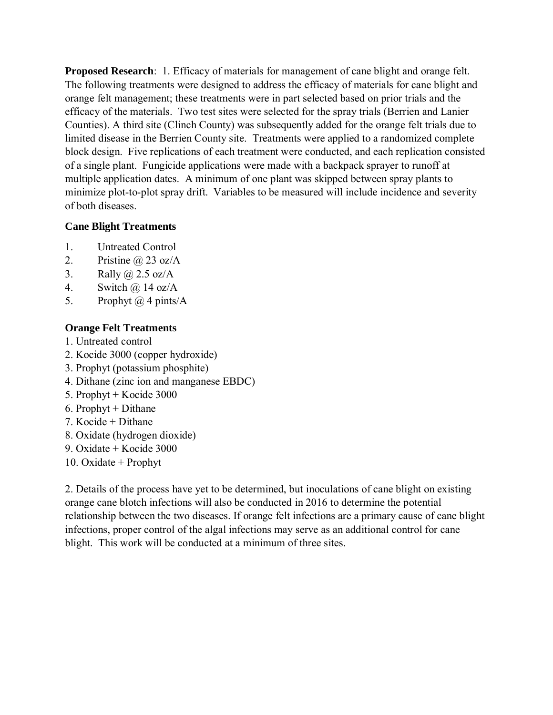**Proposed Research**: 1. Efficacy of materials for management of cane blight and orange felt. The following treatments were designed to address the efficacy of materials for cane blight and orange felt management; these treatments were in part selected based on prior trials and the efficacy of the materials. Two test sites were selected for the spray trials (Berrien and Lanier Counties). A third site (Clinch County) was subsequently added for the orange felt trials due to limited disease in the Berrien County site. Treatments were applied to a randomized complete block design. Five replications of each treatment were conducted, and each replication consisted of a single plant. Fungicide applications were made with a backpack sprayer to runoff at multiple application dates. A minimum of one plant was skipped between spray plants to minimize plot-to-plot spray drift. Variables to be measured will include incidence and severity of both diseases.

# **Cane Blight Treatments**

- 1. Untreated Control
- 2. Pristine  $\omega$  23 oz/A
- 3. Rally @ 2.5 oz/A
- 4. Switch @ 14 oz/A
- 5. Prophyt  $(a)$  4 pints/A

# **Orange Felt Treatments**

- 1. Untreated control
- 2. Kocide 3000 (copper hydroxide)
- 3. Prophyt (potassium phosphite)
- 4. Dithane (zinc ion and manganese EBDC)
- 5. Prophyt + Kocide 3000
- 6. Prophyt + Dithane
- 7. Kocide + Dithane
- 8. Oxidate (hydrogen dioxide)
- 9. Oxidate + Kocide 3000
- 10. Oxidate + Prophyt

2. Details of the process have yet to be determined, but inoculations of cane blight on existing orange cane blotch infections will also be conducted in 2016 to determine the potential relationship between the two diseases. If orange felt infections are a primary cause of cane blight infections, proper control of the algal infections may serve as an additional control for cane blight. This work will be conducted at a minimum of three sites.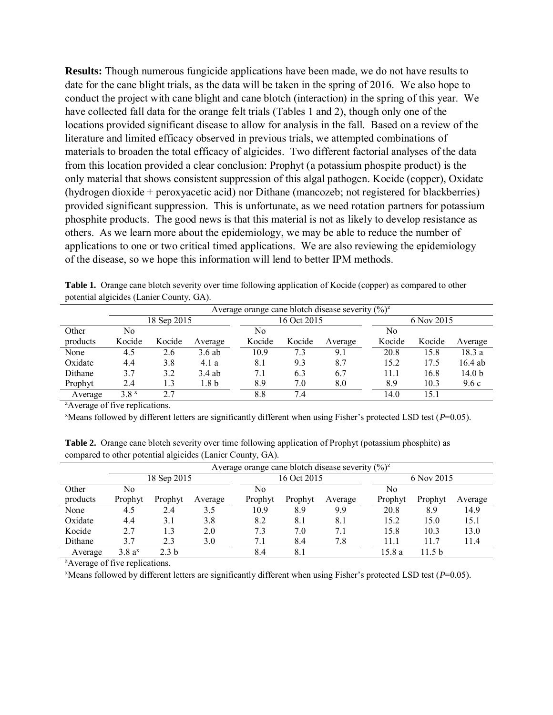**Results:** Though numerous fungicide applications have been made, we do not have results to date for the cane blight trials, as the data will be taken in the spring of 2016. We also hope to conduct the project with cane blight and cane blotch (interaction) in the spring of this year. We have collected fall data for the orange felt trials (Tables 1 and 2), though only one of the locations provided significant disease to allow for analysis in the fall. Based on a review of the literature and limited efficacy observed in previous trials, we attempted combinations of materials to broaden the total efficacy of algicides. Two different factorial analyses of the data from this location provided a clear conclusion: Prophyt (a potassium phospite product) is the only material that shows consistent suppression of this algal pathogen. Kocide (copper), Oxidate (hydrogen dioxide + peroxyacetic acid) nor Dithane (mancozeb; not registered for blackberries) provided significant suppression. This is unfortunate, as we need rotation partners for potassium phosphite products. The good news is that this material is not as likely to develop resistance as others. As we learn more about the epidemiology, we may be able to reduce the number of applications to one or two critical timed applications. We are also reviewing the epidemiology of the disease, so we hope this information will lend to better IPM methods.

| $p$ otentiai argierac $\sigma$ (Earlier County, $\sigma$ $\Omega$ ). |                                                               |        |          |             |        |         |            |        |                   |  |  |
|----------------------------------------------------------------------|---------------------------------------------------------------|--------|----------|-------------|--------|---------|------------|--------|-------------------|--|--|
|                                                                      | Average orange cane blotch disease severity $(\frac{6}{2})^2$ |        |          |             |        |         |            |        |                   |  |  |
|                                                                      | 18 Sep 2015                                                   |        |          | 16 Oct 2015 |        |         | 6 Nov 2015 |        |                   |  |  |
| Other                                                                | No                                                            |        |          | No          |        |         | No         |        |                   |  |  |
| products                                                             | Kocide                                                        | Kocide | Average  | Kocide      | Kocide | Average | Kocide     | Kocide | Average           |  |  |
| None                                                                 | 4.5                                                           | 2.6    | $3.6$ ab | 10.9        | 7.3    | 9.1     | 20.8       | 15.8   | 18.3a             |  |  |
| Oxidate                                                              | 4.4                                                           | 3.8    | 4.1 a    | 8.1         | 9.3    | 8.7     | 15.2       | 17.5   | $16.4$ ab         |  |  |
| Dithane                                                              | 3.7                                                           | 3.2    | $3.4$ ab | 7.1         | 6.3    | 6.7     | 11.1       | 16.8   | 14.0 <sub>b</sub> |  |  |
| Prophyt                                                              | 2.4                                                           | 1.3    | 1.8 b    | 8.9         | 7.0    | 8.0     | 8.9        | 10.3   | 9.6c              |  |  |
| Average                                                              | 3.8 x                                                         | 2.7    |          | 8.8         | 7.4    |         | 14.0       | 15.1   |                   |  |  |

**Table 1.** Orange cane blotch severity over time following application of Kocide (copper) as compared to other potential algicides (Lanier County, GA).

<sup>z</sup>Average of five replications.

<sup>x</sup>Means followed by different letters are significantly different when using Fisher's protected LSD test (*P*=0.05).

**Table 2.** Orange cane blotch severity over time following application of Prophyt (potassium phosphite) as compared to other potential algicides (Lanier County, GA).

|          | Average orange cane blotch disease severity $(\frac{6}{6})^z$ |                  |         |             |         |         |            |         |         |
|----------|---------------------------------------------------------------|------------------|---------|-------------|---------|---------|------------|---------|---------|
|          |                                                               | 18 Sep 2015      |         | 16 Oct 2015 |         |         | 6 Nov 2015 |         |         |
| Other    | No                                                            |                  |         | No          |         |         | No         |         |         |
| products | Prophyt                                                       | Prophyt          | Average | Prophyt     | Prophyt | Average | Prophyt    | Prophyt | Average |
| None     | 4.5                                                           | 2.4              | 3.5     | 10.9        | 8.9     | 9.9     | 20.8       | 8.9     | 14.9    |
| Oxidate  | 4.4                                                           | 3.1              | 3.8     | 8.2         | 8.1     | 8.1     | 15.2       | 15.0    | 15.1    |
| Kocide   | 2.7                                                           | 1.3              | 2.0     | 7.3         | 7.0     | 7.1     | 15.8       | 10.3    | 13.0    |
| Dithane  | 3.7                                                           | 2.3              | 3.0     | 7.1         | 8.4     | 7.8     | 11.1       | 11.7    | 11.4    |
| Average  | $3.8a^x$                                                      | 2.3 <sub>b</sub> |         | 8.4         | 8.1     |         | 15.8 a     | 11.5 b  |         |

<sup>z</sup>Average of five replications.

 $x$ Means followed by different letters are significantly different when using Fisher's protected LSD test ( $P=0.05$ ).